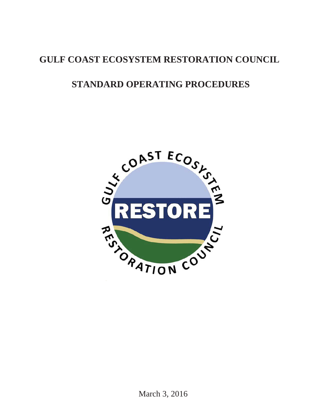# **GULF COAST ECOSYSTEM RESTORATION COUNCIL**

# **STANDARD OPERATING PROCEDURES**

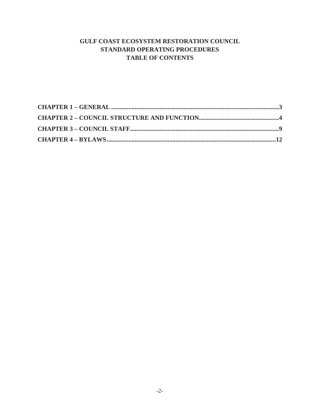# **GULF COAST ECOSYSTEM RESTORATION COUNCIL STANDARD OPERATING PROCEDURES TABLE OF CONTENTS**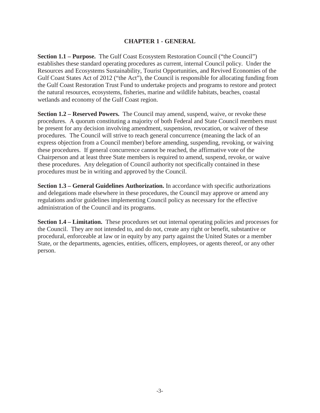#### **CHAPTER 1 - GENERAL**

<span id="page-2-0"></span>**Section 1.1 – Purpose.** The Gulf Coast Ecosystem Restoration Council ("the Council") establishes these standard operating procedures as current, internal Council policy. Under the Resources and Ecosystems Sustainability, Tourist Opportunities, and Revived Economies of the Gulf Coast States Act of 2012 ("the Act"), the Council is responsible for allocating funding from the Gulf Coast Restoration Trust Fund to undertake projects and programs to restore and protect the natural resources, ecosystems, fisheries, marine and wildlife habitats, beaches, coastal wetlands and economy of the Gulf Coast region.

**Section 1.2 – Reserved Powers.** The Council may amend, suspend, waive, or revoke these procedures. A quorum constituting a majority of both Federal and State Council members must be present for any decision involving amendment, suspension, revocation, or waiver of these procedures. The Council will strive to reach general concurrence (meaning the lack of an express objection from a Council member) before amending, suspending, revoking, or waiving these procedures. If general concurrence cannot be reached, the affirmative vote of the Chairperson and at least three State members is required to amend, suspend, revoke, or waive these procedures. Any delegation of Council authority not specifically contained in these procedures must be in writing and approved by the Council.

**Section 1.3 – General Guidelines Authorization.** In accordance with specific authorizations and delegations made elsewhere in these procedures, the Council may approve or amend any regulations and/or guidelines implementing Council policy as necessary for the effective administration of the Council and its programs.

**Section 1.4 – Limitation.** These procedures set out internal operating policies and processes for the Council. They are not intended to, and do not, create any right or benefit, substantive or procedural, enforceable at law or in equity by any party against the United States or a member State, or the departments, agencies, entities, officers, employees, or agents thereof, or any other person.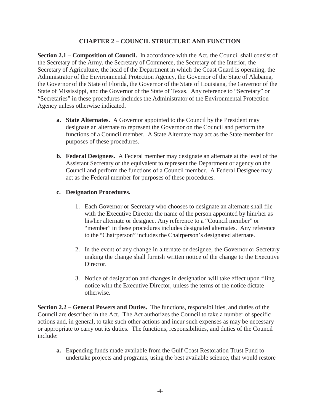#### **CHAPTER 2 – COUNCIL STRUCTURE AND FUNCTION**

<span id="page-3-0"></span>**Section 2.1 – Composition of Council.** In accordance with the Act, the Council shall consist of the Secretary of the Army, the Secretary of Commerce, the Secretary of the Interior, the Secretary of Agriculture, the head of the Department in which the Coast Guard is operating, the Administrator of the Environmental Protection Agency, the Governor of the State of Alabama, the Governor of the State of Florida, the Governor of the State of Louisiana, the Governor of the State of Mississippi, and the Governor of the State of Texas. Any reference to "Secretary" or "Secretaries" in these procedures includes the Administrator of the Environmental Protection Agency unless otherwise indicated.

- **a. State Alternates.** A Governor appointed to the Council by the President may designate an alternate to represent the Governor on the Council and perform the functions of a Council member. A State Alternate may act as the State member for purposes of these procedures.
- **b. Federal Designees.** A Federal member may designate an alternate at the level of the Assistant Secretary or the equivalent to represent the Department or agency on the Council and perform the functions of a Council member. A Federal Designee may act as the Federal member for purposes of these procedures.

#### **c. Designation Procedures.**

- 1. Each Governor or Secretary who chooses to designate an alternate shall file with the Executive Director the name of the person appointed by him/her as his/her alternate or designee. Any reference to a "Council member" or "member" in these procedures includes designated alternates. Any reference to the "Chairperson" includes the Chairperson's designated alternate.
- 2. In the event of any change in alternate or designee, the Governor or Secretary making the change shall furnish written notice of the change to the Executive Director.
- 3. Notice of designation and changes in designation will take effect upon filing notice with the Executive Director, unless the terms of the notice dictate otherwise.

**Section 2.2 – General Powers and Duties.** The functions, responsibilities, and duties of the Council are described in the Act. The Act authorizes the Council to take a number of specific actions and, in general, to take such other actions and incur such expenses as may be necessary or appropriate to carry out its duties. The functions, responsibilities, and duties of the Council include:

**a.** Expending funds made available from the Gulf Coast Restoration Trust Fund to undertake projects and programs, using the best available science, that would restore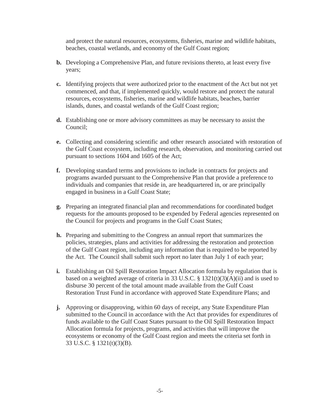and protect the natural resources, ecosystems, fisheries, marine and wildlife habitats, beaches, coastal wetlands, and economy of the Gulf Coast region;

- **b.** Developing a Comprehensive Plan, and future revisions thereto, at least every five years;
- **c.** Identifying projects that were authorized prior to the enactment of the Act but not yet commenced, and that, if implemented quickly, would restore and protect the natural resources, ecosystems, fisheries, marine and wildlife habitats, beaches, barrier islands, dunes, and coastal wetlands of the Gulf Coast region;
- **d.** Establishing one or more advisory committees as may be necessary to assist the Council;
- **e.** Collecting and considering scientific and other research associated with restoration of the Gulf Coast ecosystem, including research, observation, and monitoring carried out pursuant to sections 1604 and 1605 of the Act;
- **f.** Developing standard terms and provisions to include in contracts for projects and programs awarded pursuant to the Comprehensive Plan that provide a preference to individuals and companies that reside in, are headquartered in, or are principally engaged in business in a Gulf Coast State;
- **g.** Preparing an integrated financial plan and recommendations for coordinated budget requests for the amounts proposed to be expended by Federal agencies represented on the Council for projects and programs in the Gulf Coast States;
- **h.** Preparing and submitting to the Congress an annual report that summarizes the policies, strategies, plans and activities for addressing the restoration and protection of the Gulf Coast region, including any information that is required to be reported by the Act. The Council shall submit such report no later than July 1 of each year;
- **i.** Establishing an Oil Spill Restoration Impact Allocation formula by regulation that is based on a weighted average of criteria in 33 U.S.C. §  $1321(t)(3)(A)(ii)$  and is used to disburse 30 percent of the total amount made available from the Gulf Coast Restoration Trust Fund in accordance with approved State Expenditure Plans; and
- **j.** Approving or disapproving, within 60 days of receipt, any State Expenditure Plan submitted to the Council in accordance with the Act that provides for expenditures of funds available to the Gulf Coast States pursuant to the Oil Spill Restoration Impact Allocation formula for projects, programs, and activities that will improve the ecosystems or economy of the Gulf Coast region and meets the criteria set forth in 33 U.S.C. § 1321(t)(3)(B).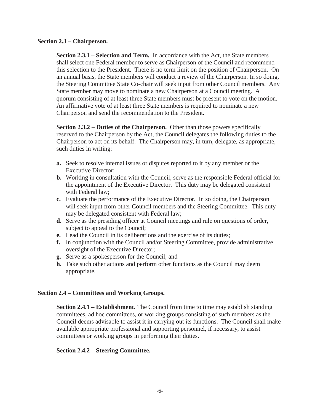#### **Section 2.3 – Chairperson.**

**Section 2.3.1 – Selection and Term.** In accordance with the Act, the State members shall select one Federal member to serve as Chairperson of the Council and recommend this selection to the President. There is no term limit on the position of Chairperson. On an annual basis, the State members will conduct a review of the Chairperson. In so doing, the Steering Committee State Co-chair will seek input from other Council members. Any State member may move to nominate a new Chairperson at a Council meeting. A quorum consisting of at least three State members must be present to vote on the motion. An affirmative vote of at least three State members is required to nominate a new Chairperson and send the recommendation to the President.

**Section 2.3.2 – Duties of the Chairperson.** Other than those powers specifically reserved to the Chairperson by the Act, the Council delegates the following duties to the Chairperson to act on its behalf. The Chairperson may, in turn, delegate, as appropriate, such duties in writing:

- **a.** Seek to resolve internal issues or disputes reported to it by any member or the Executive Director;
- **b.** Working in consultation with the Council, serve as the responsible Federal official for the appointment of the Executive Director. This duty may be delegated consistent with Federal law;
- **c.** Evaluate the performance of the Executive Director. In so doing, the Chairperson will seek input from other Council members and the Steering Committee. This duty may be delegated consistent with Federal law;
- **d.** Serve as the presiding officer at Council meetings and rule on questions of order, subject to appeal to the Council;
- **e.** Lead the Council in its deliberations and the exercise of its duties;
- **f.** In conjunction with the Council and/or Steering Committee, provide administrative oversight of the Executive Director;
- **g.** Serve as a spokesperson for the Council; and
- **h.** Take such other actions and perform other functions as the Council may deem appropriate.

### **Section 2.4 – Committees and Working Groups.**

**Section 2.4.1 – Establishment.** The Council from time to time may establish standing committees, ad hoc committees, or working groups consisting of such members as the Council deems advisable to assist it in carrying out its functions. The Council shall make available appropriate professional and supporting personnel, if necessary, to assist committees or working groups in performing their duties.

#### **Section 2.4.2 – Steering Committee.**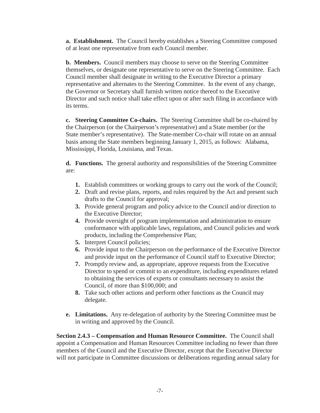**a. Establishment.** The Council hereby establishes a Steering Committee composed of at least one representative from each Council member.

**b. Members.** Council members may choose to serve on the Steering Committee themselves, or designate one representative to serve on the Steering Committee. Each Council member shall designate in writing to the Executive Director a primary representative and alternates to the Steering Committee. In the event of any change, the Governor or Secretary shall furnish written notice thereof to the Executive Director and such notice shall take effect upon or after such filing in accordance with its terms.

**c. Steering Committee Co-chairs.** The Steering Committee shall be co-chaired by the Chairperson (or the Chairperson's representative) and a State member (or the State member's representative). The State-member Co-chair will rotate on an annual basis among the State members beginning January 1, 2015, as follows: Alabama, Mississippi, Florida, Louisiana, and Texas.

**d. Functions.** The general authority and responsibilities of the Steering Committee are:

- **1.** Establish committees or working groups to carry out the work of the Council;
- **2.** Draft and revise plans, reports, and rules required by the Act and present such drafts to the Council for approval;
- **3.** Provide general program and policy advice to the Council and/or direction to the Executive Director;
- **4.** Provide oversight of program implementation and administration to ensure conformance with applicable laws, regulations, and Council policies and work products, including the Comprehensive Plan;
- **5.** Interpret Council policies;
- **6.** Provide input to the Chairperson on the performance of the Executive Director and provide input on the performance of Council staff to Executive Director;
- **7.** Promptly review and, as appropriate, approve requests from the Executive Director to spend or commit to an expenditure, including expenditures related to obtaining the services of experts or consultants necessary to assist the Council, of more than \$100,000; and
- **8.** Take such other actions and perform other functions as the Council may delegate.
- **e. Limitations.** Any re-delegation of authority by the Steering Committee must be in writing and approved by the Council.

**Section 2.4.3 – Compensation and Human Resource Committee.** The Council shall appoint a Compensation and Human Resources Committee including no fewer than three members of the Council and the Executive Director, except that the Executive Director will not participate in Committee discussions or deliberations regarding annual salary for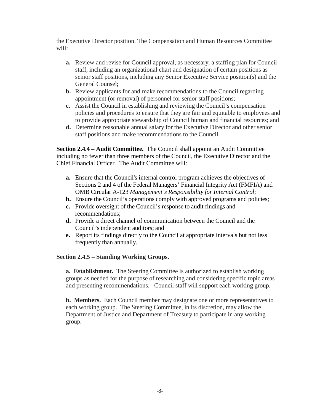the Executive Director position. The Compensation and Human Resources Committee will:

- **a.** Review and revise for Council approval, as necessary, a staffing plan for Council staff, including an organizational chart and designation of certain positions as senior staff positions, including any Senior Executive Service position(s) and the General Counsel;
- **b.** Review applicants for and make recommendations to the Council regarding appointment (or removal) of personnel for senior staff positions;
- **c.** Assist the Council in establishing and reviewing the Council's compensation policies and procedures to ensure that they are fair and equitable to employees and to provide appropriate stewardship of Council human and financial resources; and
- **d.** Determine reasonable annual salary for the Executive Director and other senior staff positions and make recommendations to the Council.

**Section 2.4.4 – Audit Committee.** The Council shall appoint an Audit Committee including no fewer than three members of the Council, the Executive Director and the Chief Financial Officer. The Audit Committee will:

- **a.** Ensure that the Council's internal control program achieves the objectives of Sections 2 and 4 of the Federal Managers' Financial Integrity Act (FMFIA) and OMB Circular A-123 *Management's Responsibility for Internal Control*;
- **b.** Ensure the Council's operations comply with approved programs and policies;
- **c.** Provide oversight of the Council's response to audit findings and recommendations;
- **d.** Provide a direct channel of communication between the Council and the Council's independent auditors; and
- **e.** Report its findings directly to the Council at appropriate intervals but not less frequently than annually.

### **Section 2.4.5 – Standing Working Groups.**

**a. Establishment.** The Steering Committee is authorized to establish working groups as needed for the purpose of researching and considering specific topic areas and presenting recommendations. Council staff will support each working group.

**b. Members.** Each Council member may designate one or more representatives to each working group. The Steering Committee, in its discretion, may allow the Department of Justice and Department of Treasury to participate in any working group.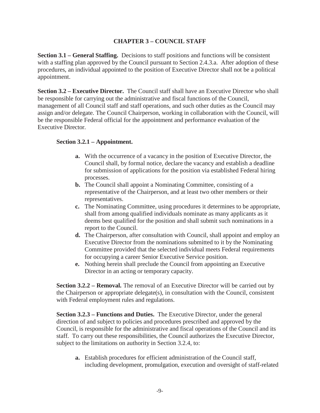### **CHAPTER 3 – COUNCIL STAFF**

<span id="page-8-0"></span>**Section 3.1 – General Staffing.** Decisions to staff positions and functions will be consistent with a staffing plan approved by the Council pursuant to Section 2.4.3.a. After adoption of these procedures, an individual appointed to the position of Executive Director shall not be a political appointment.

**Section 3.2 – Executive Director.** The Council staff shall have an Executive Director who shall be responsible for carrying out the administrative and fiscal functions of the Council, management of all Council staff and staff operations, and such other duties as the Council may assign and/or delegate. The Council Chairperson, working in collaboration with the Council, will be the responsible Federal official for the appointment and performance evaluation of the Executive Director.

#### **Section 3.2.1 – Appointment.**

- **a.** With the occurrence of a vacancy in the position of Executive Director, the Council shall, by formal notice, declare the vacancy and establish a deadline for submission of applications for the position via established Federal hiring processes.
- **b.** The Council shall appoint a Nominating Committee, consisting of a representative of the Chairperson, and at least two other members or their representatives.
- **c.** The Nominating Committee, using procedures it determines to be appropriate, shall from among qualified individuals nominate as many applicants as it deems best qualified for the position and shall submit such nominations in a report to the Council.
- **d.** The Chairperson, after consultation with Council, shall appoint and employ an Executive Director from the nominations submitted to it by the Nominating Committee provided that the selected individual meets Federal requirements for occupying a career Senior Executive Service position.
- **e.** Nothing herein shall preclude the Council from appointing an Executive Director in an acting or temporary capacity.

**Section 3.2.2 – Removal.** The removal of an Executive Director will be carried out by the Chairperson or appropriate delegate(s), in consultation with the Council, consistent with Federal employment rules and regulations.

**Section 3.2.3 – Functions and Duties.** The Executive Director, under the general direction of and subject to policies and procedures prescribed and approved by the Council, is responsible for the administrative and fiscal operations of the Council and its staff. To carry out these responsibilities, the Council authorizes the Executive Director, subject to the limitations on authority in Section 3.2.4, to:

**a.** Establish procedures for efficient administration of the Council staff, including development, promulgation, execution and oversight of staff-related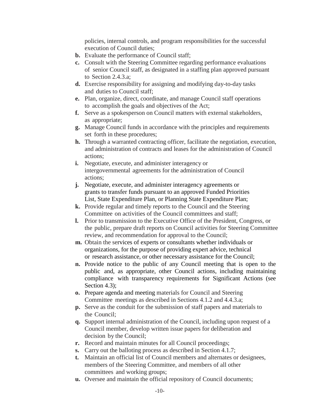policies, internal controls, and program responsibilities for the successful execution of Council duties;

- **b.** Evaluate the performance of Council staff;
- **c.** Consult with the Steering Committee regarding performance evaluations of senior Council staff, as designated in a staffing plan approved pursuant to Section 2.4.3.a;
- **d.** Exercise responsibility for assigning and modifying day-to-day tasks and duties to Council staff;
- **e.** Plan, organize, direct, coordinate, and manage Council staff operations to accomplish the goals and objectives of the Act;
- **f.** Serve as a spokesperson on Council matters with external stakeholders, as appropriate;
- **g.** Manage Council funds in accordance with the principles and requirements set forth in these procedures;
- **h.** Through a warranted contracting officer, facilitate the negotiation, execution, and administration of contracts and leases for the administration of Council actions;
- **i.** Negotiate, execute, and administer interagency or intergovernmental agreements for the administration of Council actions;
- **j.** Negotiate, execute, and administer interagency agreements or grants to transfer funds pursuant to an approved Funded Priorities List, State Expenditure Plan, or Planning State Expenditure Plan;
- **k.** Provide regular and timely reports to the Council and the Steering Committee on activities of the Council committees and staff;
- **l.** Prior to transmission to the Executive Office of the President, Congress, or the public, prepare draft reports on Council activities for Steering Committee review, and recommendation for approval to the Council;
- **m.** Obtain the services of experts or consultants whether individuals or organizations, for the purpose of providing expert advice, technical or research assistance, or other necessary assistance for the Council;
- **n.** Provide notice to the public of any Council meeting that is open to the public and, as appropriate, other Council actions, including maintaining compliance with transparency requirements for Significant Actions (see Section 4.3);
- **o.** Prepare agenda and meeting materials for Council and Steering Committee meetings as described in Sections 4.1.2 and 4.4.3.a;
- **p.** Serve as the conduit for the submission of staff papers and materials to the Council;
- **q.** Support internal administration of the Council, including upon request of a Council member, develop written issue papers for deliberation and decision by the Council;
- **r.** Record and maintain minutes for all Council proceedings;
- **s.** Carry out the balloting process as described in Section 4.1.7;
- **t.** Maintain an official list of Council members and alternates or designees, members of the Steering Committee, and members of all other committees and working groups;
- **u.** Oversee and maintain the official repository of Council documents;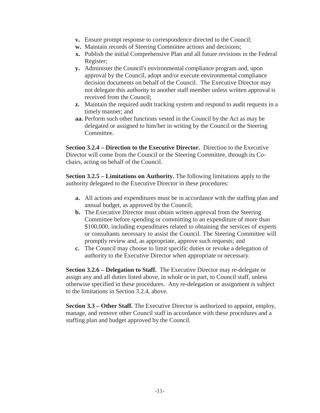- **v.** Ensure prompt response to correspondence directed to the Council;
- **w.** Maintain records of Steering Committee actions and decisions;
- **x.** Publish the initial Comprehensive Plan and all future revisions in the Federal Register;
- **y.** Administer the Council's environmental compliance program and, upon approval by the Council, adopt and/or execute environmental compliance decision documents on behalf of the Council. The Executive Director may not delegate this authority to another staff member unless written approval is received from the Council;
- **z.** Maintain the required audit tracking system and respond to audit requests in a timely manner; and
- **aa.** Perform such other functions vested in the Council by the Act as may be delegated or assigned to him/her in writing by the Council or the Steering Committee.

**Section 3.2.4 – Direction to the Executive Director.** Direction to the Executive Director will come from the Council or the Steering Committee, through its Cochairs, acting on behalf of the Council.

**Section 3.2.5 – Limitations on Authority.** The following limitations apply to the authority delegated to the Executive Director in these procedures:

- **a.** All actions and expenditures must be in accordance with the staffing plan and annual budget, as approved by the Council;
- **b.** The Executive Director must obtain written approval from the Steering Committee before spending or committing to an expenditure of more than \$100,000, including expenditures related to obtaining the services of experts or consultants necessary to assist the Council. The Steering Committee will promptly review and, as appropriate, approve such requests; and
- **c.** The Council may choose to limit specific duties or revoke a delegation of authority to the Executive Director when appropriate or necessary.

**Section 3.2.6 – Delegation to Staff.** The Executive Director may re-delegate or assign any and all duties listed above, in whole or in part, to Council staff, unless otherwise specified in these procedures. Any re-delegation or assignment is subject to the limitations in Section 3.2.4, above.

**Section 3.3 – Other Staff.** The Executive Director is authorized to appoint, employ, manage, and remove other Council staff in accordance with these procedures and a staffing plan and budget approved by the Council.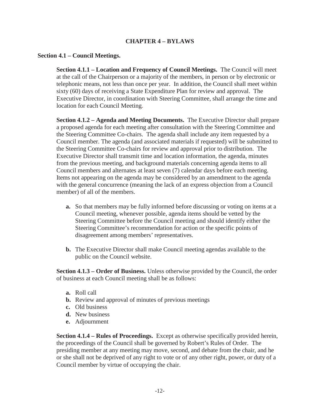#### **CHAPTER 4 – BYLAWS**

#### <span id="page-11-0"></span>**Section 4.1 – Council Meetings.**

**Section 4.1.1 – Location and Frequency of Council Meetings.** The Council will meet at the call of the Chairperson or a majority of the members, in person or by electronic or telephonic means, not less than once per year. In addition, the Council shall meet within sixty (60) days of receiving a State Expenditure Plan for review and approval. The Executive Director, in coordination with Steering Committee, shall arrange the time and location for each Council Meeting.

**Section 4.1.2 – Agenda and Meeting Documents.** The Executive Director shall prepare a proposed agenda for each meeting after consultation with the Steering Committee and the Steering Committee Co-chairs. The agenda shall include any item requested by a Council member. The agenda (and associated materials if requested) will be submitted to the Steering Committee Co-chairs for review and approval prior to distribution. The Executive Director shall transmit time and location information, the agenda, minutes from the previous meeting, and background materials concerning agenda items to all Council members and alternates at least seven (7) calendar days before each meeting. Items not appearing on the agenda may be considered by an amendment to the agenda with the general concurrence (meaning the lack of an express objection from a Council member) of all of the members.

- **a.** So that members may be fully informed before discussing or voting on items at a Council meeting, whenever possible, agenda items should be vetted by the Steering Committee before the Council meeting and should identify either the Steering Committee's recommendation for action or the specific points of disagreement among members' representatives.
- **b.** The Executive Director shall make Council meeting agendas available to the public on the Council website.

**Section 4.1.3 – Order of Business.** Unless otherwise provided by the Council, the order of business at each Council meeting shall be as follows:

- **a.** Roll call
- **b.** Review and approval of minutes of previous meetings
- **c.** Old business
- **d.** New business
- **e.** Adjournment

**Section 4.1.4 – Rules of Proceedings.** Except as otherwise specifically provided herein, the proceedings of the Council shall be governed by Robert's Rules of Order. The presiding member at any meeting may move, second, and debate from the chair, and he or she shall not be deprived of any right to vote or of any other right, power, or duty of a Council member by virtue of occupying the chair.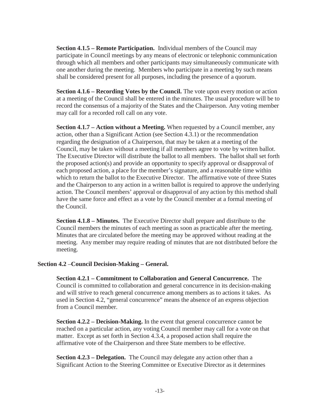**Section 4.1.5 – Remote Participation.** Individual members of the Council may participate in Council meetings by any means of electronic or telephonic communication through which all members and other participants may simultaneously communicate with one another during the meeting. Members who participate in a meeting by such means shall be considered present for all purposes, including the presence of a quorum.

**Section 4.1.6 – Recording Votes by the Council.** The vote upon every motion or action at a meeting of the Council shall be entered in the minutes. The usual procedure will be to record the consensus of a majority of the States and the Chairperson. Any voting member may call for a recorded roll call on any vote.

**Section 4.1.7 – Action without a Meeting.** When requested by a Council member, any action, other than a Significant Action (see Section 4.3.1) or the recommendation regarding the designation of a Chairperson, that may be taken at a meeting of the Council, may be taken without a meeting if all members agree to vote by written ballot. The Executive Director will distribute the ballot to all members. The ballot shall set forth the proposed action(s) and provide an opportunity to specify approval or disapproval of each proposed action, a place for the member's signature, and a reasonable time within which to return the ballot to the Executive Director. The affirmative vote of three States and the Chairperson to any action in a written ballot is required to approve the underlying action. The Council members' approval or disapproval of any action by this method shall have the same force and effect as a vote by the Council member at a formal meeting of the Council.

**Section 4.1.8 – Minutes.** The Executive Director shall prepare and distribute to the Council members the minutes of each meeting as soon as practicable after the meeting. Minutes that are circulated before the meeting may be approved without reading at the meeting. Any member may require reading of minutes that are not distributed before the meeting.

### **Section 4.2** –**Council Decision-Making – General.**

**Section 4.2.1 – Commitment to Collaboration and General Concurrence.** The Council is committed to collaboration and general concurrence in its decision-making and will strive to reach general concurrence among members as to actions it takes. As used in Section 4.2, "general concurrence" means the absence of an express objection from a Council member.

**Section 4.2.2 – Decision-Making.** In the event that general concurrence cannot be reached on a particular action, any voting Council member may call for a vote on that matter. Except as set forth in Section 4.3.4, a proposed action shall require the affirmative vote of the Chairperson and three State members to be effective.

**Section 4.2.3 – Delegation.** The Council may delegate any action other than a Significant Action to the Steering Committee or Executive Director as it determines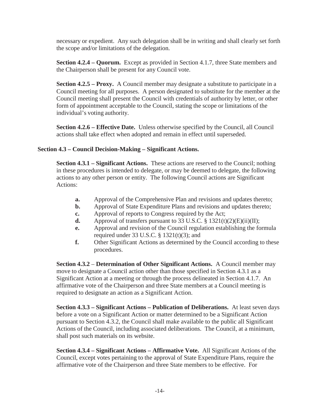necessary or expedient. Any such delegation shall be in writing and shall clearly set forth the scope and/or limitations of the delegation.

**Section 4.2.4 – Quorum.** Except as provided in Section 4.1.7, three State members and the Chairperson shall be present for any Council vote.

**Section 4.2.5 – Proxy.** A Council member may designate a substitute to participate in a Council meeting for all purposes. A person designated to substitute for the member at the Council meeting shall present the Council with credentials of authority by letter, or other form of appointment acceptable to the Council, stating the scope or limitations of the individual's voting authority.

**Section 4.2.6 – Effective Date.** Unless otherwise specified by the Council, all Council actions shall take effect when adopted and remain in effect until superseded.

## **Section 4.3 – Council Decision-Making – Significant Actions.**

**Section 4.3.1 – Significant Actions.** These actions are reserved to the Council; nothing in these procedures is intended to delegate, or may be deemed to delegate, the following actions to any other person or entity. The following Council actions are Significant Actions:

- **a.** Approval of the Comprehensive Plan and revisions and updates thereto;
- **b.** Approval of State Expenditure Plans and revisions and updates thereto;
- **c.** Approval of reports to Congress required by the Act;
- **d.** Approval of transfers pursuant to 33 U.S.C.  $\S$  1321(t)(2)(E)(ii)(II);
- **e.** Approval and revision of the Council regulation establishing the formula required under 33 U.S.C.  $\S$  1321(t)(3); and
- **f.** Other Significant Actions as determined by the Council according to these procedures.

**Section 4.3.2** – **Determination of Other Significant Actions.** A Council member may move to designate a Council action other than those specified in Section 4.3.1 as a Significant Action at a meeting or through the process delineated in Section 4.1.7. An affirmative vote of the Chairperson and three State members at a Council meeting is required to designate an action as a Significant Action.

**Section 4.3.3 – Significant Actions – Publication of Deliberations.** At least seven days before a vote on a Significant Action or matter determined to be a Significant Action pursuant to Section 4.3.2, the Council shall make available to the public all Significant Actions of the Council, including associated deliberations. The Council, at a minimum, shall post such materials on its website.

**Section 4.3.4 – Significant Actions – Affirmative Vote.** All Significant Actions of the Council, except votes pertaining to the approval of State Expenditure Plans, require the affirmative vote of the Chairperson and three State members to be effective. For